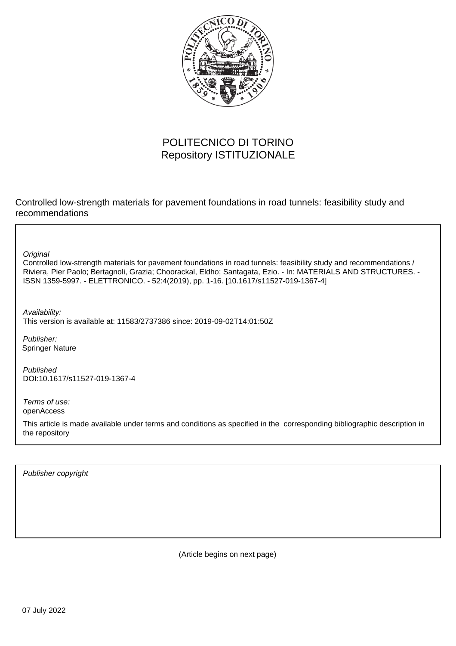

### POLITECNICO DI TORINO Repository ISTITUZIONALE

Controlled low-strength materials for pavement foundations in road tunnels: feasibility study and recommendations

**Original** 

Controlled low-strength materials for pavement foundations in road tunnels: feasibility study and recommendations / Riviera, Pier Paolo; Bertagnoli, Grazia; Choorackal, Eldho; Santagata, Ezio. - In: MATERIALS AND STRUCTURES. - ISSN 1359-5997. - ELETTRONICO. - 52:4(2019), pp. 1-16. [10.1617/s11527-019-1367-4]

Availability: This version is available at: 11583/2737386 since: 2019-09-02T14:01:50Z

Publisher: Springer Nature

Published DOI:10.1617/s11527-019-1367-4

Terms of use: openAccess

This article is made available under terms and conditions as specified in the corresponding bibliographic description in the repository

Publisher copyright

(Article begins on next page)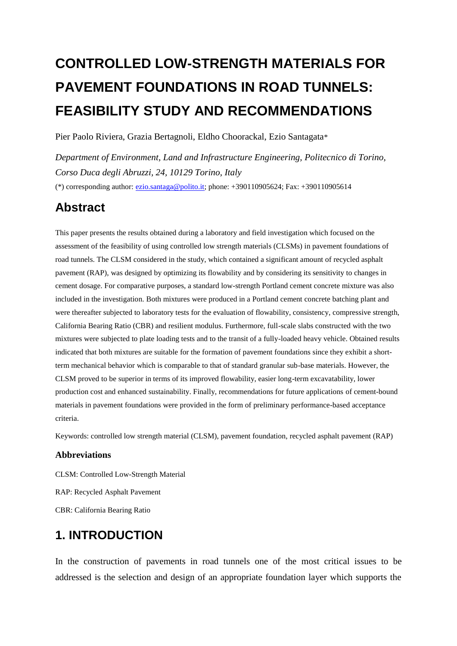# **CONTROLLED LOW-STRENGTH MATERIALS FOR PAVEMENT FOUNDATIONS IN ROAD TUNNELS: FEASIBILITY STUDY AND RECOMMENDATIONS**

Pier Paolo Riviera, Grazia Bertagnoli, Eldho Choorackal, Ezio Santagata\*

*Department of Environment, Land and Infrastructure Engineering, Politecnico di Torino, Corso Duca degli Abruzzi, 24, 10129 Torino, Italy* (\*) corresponding author: [ezio.santaga@polito.it;](mailto:ezio.santaga@polito.it) phone: +390110905624; Fax: +390110905614

## **Abstract**

This paper presents the results obtained during a laboratory and field investigation which focused on the assessment of the feasibility of using controlled low strength materials (CLSMs) in pavement foundations of road tunnels. The CLSM considered in the study, which contained a significant amount of recycled asphalt pavement (RAP), was designed by optimizing its flowability and by considering its sensitivity to changes in cement dosage. For comparative purposes, a standard low-strength Portland cement concrete mixture was also included in the investigation. Both mixtures were produced in a Portland cement concrete batching plant and were thereafter subjected to laboratory tests for the evaluation of flowability, consistency, compressive strength, California Bearing Ratio (CBR) and resilient modulus. Furthermore, full-scale slabs constructed with the two mixtures were subjected to plate loading tests and to the transit of a fully-loaded heavy vehicle. Obtained results indicated that both mixtures are suitable for the formation of pavement foundations since they exhibit a shortterm mechanical behavior which is comparable to that of standard granular sub-base materials. However, the CLSM proved to be superior in terms of its improved flowability, easier long-term excavatability, lower production cost and enhanced sustainability. Finally, recommendations for future applications of cement-bound materials in pavement foundations were provided in the form of preliminary performance-based acceptance criteria.

Keywords: controlled low strength material (CLSM), pavement foundation, recycled asphalt pavement (RAP)

#### **Abbreviations**

CLSM: Controlled Low-Strength Material RAP: Recycled Asphalt Pavement CBR: California Bearing Ratio

### **1. INTRODUCTION**

In the construction of pavements in road tunnels one of the most critical issues to be addressed is the selection and design of an appropriate foundation layer which supports the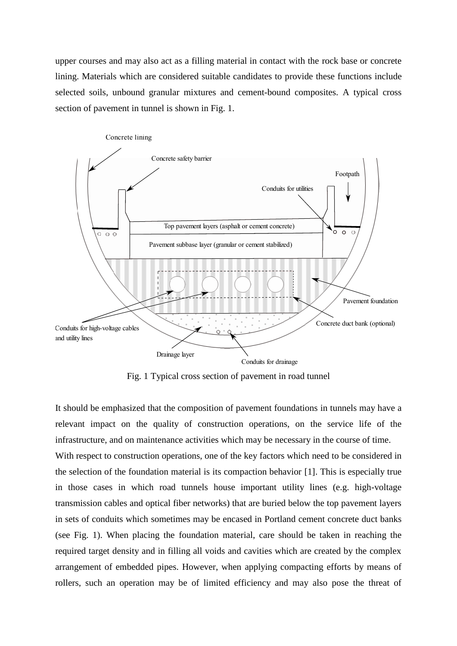upper courses and may also act as a filling material in contact with the rock base or concrete lining. Materials which are considered suitable candidates to provide these functions include selected soils, unbound granular mixtures and cement-bound composites. A typical cross section of pavement in tunnel is shown in Fig. 1.



Fig. 1 Typical cross section of pavement in road tunnel

It should be emphasized that the composition of pavement foundations in tunnels may have a relevant impact on the quality of construction operations, on the service life of the infrastructure, and on maintenance activities which may be necessary in the course of time.

With respect to construction operations, one of the key factors which need to be considered in the selection of the foundation material is its compaction behavior [1]. This is especially true in those cases in which road tunnels house important utility lines (e.g. high-voltage transmission cables and optical fiber networks) that are buried below the top pavement layers in sets of conduits which sometimes may be encased in Portland cement concrete duct banks (see Fig. 1). When placing the foundation material, care should be taken in reaching the required target density and in filling all voids and cavities which are created by the complex arrangement of embedded pipes. However, when applying compacting efforts by means of rollers, such an operation may be of limited efficiency and may also pose the threat of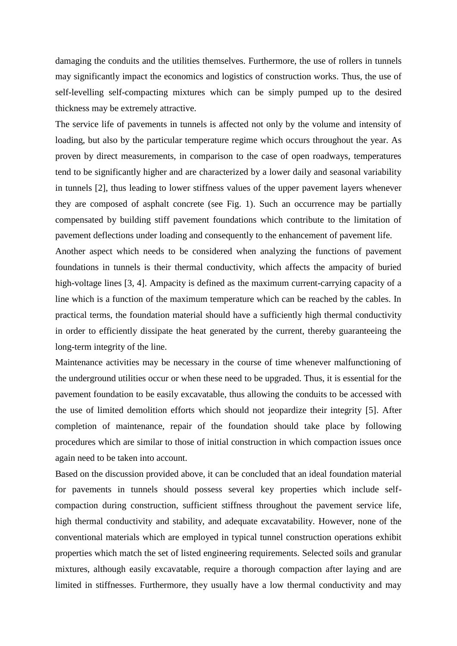damaging the conduits and the utilities themselves. Furthermore, the use of rollers in tunnels may significantly impact the economics and logistics of construction works. Thus, the use of self-levelling self-compacting mixtures which can be simply pumped up to the desired thickness may be extremely attractive.

The service life of pavements in tunnels is affected not only by the volume and intensity of loading, but also by the particular temperature regime which occurs throughout the year. As proven by direct measurements, in comparison to the case of open roadways, temperatures tend to be significantly higher and are characterized by a lower daily and seasonal variability in tunnels [2], thus leading to lower stiffness values of the upper pavement layers whenever they are composed of asphalt concrete (see Fig. 1). Such an occurrence may be partially compensated by building stiff pavement foundations which contribute to the limitation of pavement deflections under loading and consequently to the enhancement of pavement life.

Another aspect which needs to be considered when analyzing the functions of pavement foundations in tunnels is their thermal conductivity, which affects the ampacity of buried high-voltage lines [3, 4]. Ampacity is defined as the maximum current-carrying capacity of a line which is a function of the maximum temperature which can be reached by the cables. In practical terms, the foundation material should have a sufficiently high thermal conductivity in order to efficiently dissipate the heat generated by the current, thereby guaranteeing the long-term integrity of the line.

Maintenance activities may be necessary in the course of time whenever malfunctioning of the underground utilities occur or when these need to be upgraded. Thus, it is essential for the pavement foundation to be easily excavatable, thus allowing the conduits to be accessed with the use of limited demolition efforts which should not jeopardize their integrity [5]. After completion of maintenance, repair of the foundation should take place by following procedures which are similar to those of initial construction in which compaction issues once again need to be taken into account.

Based on the discussion provided above, it can be concluded that an ideal foundation material for pavements in tunnels should possess several key properties which include selfcompaction during construction, sufficient stiffness throughout the pavement service life, high thermal conductivity and stability, and adequate excavatability. However, none of the conventional materials which are employed in typical tunnel construction operations exhibit properties which match the set of listed engineering requirements. Selected soils and granular mixtures, although easily excavatable, require a thorough compaction after laying and are limited in stiffnesses. Furthermore, they usually have a low thermal conductivity and may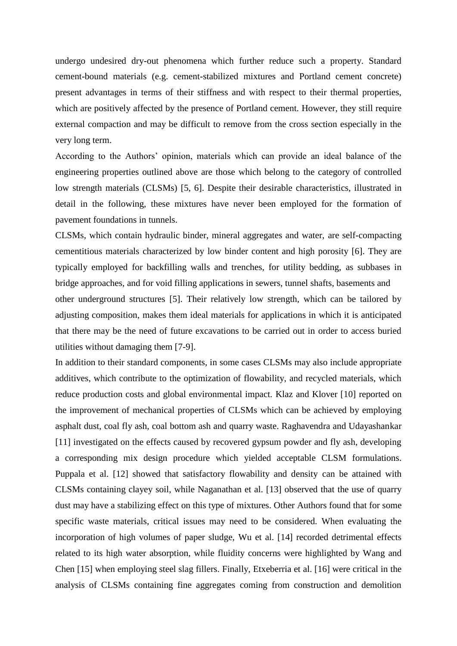undergo undesired dry-out phenomena which further reduce such a property. Standard cement-bound materials (e.g. cement-stabilized mixtures and Portland cement concrete) present advantages in terms of their stiffness and with respect to their thermal properties, which are positively affected by the presence of Portland cement. However, they still require external compaction and may be difficult to remove from the cross section especially in the very long term.

According to the Authors' opinion, materials which can provide an ideal balance of the engineering properties outlined above are those which belong to the category of controlled low strength materials (CLSMs) [5, 6]. Despite their desirable characteristics, illustrated in detail in the following, these mixtures have never been employed for the formation of pavement foundations in tunnels.

CLSMs, which contain hydraulic binder, mineral aggregates and water, are self-compacting cementitious materials characterized by low binder content and high porosity [6]. They are typically employed for backfilling walls and trenches, for utility bedding, as subbases in bridge approaches, and for void filling applications in sewers, tunnel shafts, basements and other underground structures [5]. Their relatively low strength, which can be tailored by adjusting composition, makes them ideal materials for applications in which it is anticipated that there may be the need of future excavations to be carried out in order to access buried utilities without damaging them [7-9].

In addition to their standard components, in some cases CLSMs may also include appropriate additives, which contribute to the optimization of flowability, and recycled materials, which reduce production costs and global environmental impact. Klaz and Klover [10] reported on the improvement of mechanical properties of CLSMs which can be achieved by employing asphalt dust, coal fly ash, coal bottom ash and quarry waste. Raghavendra and Udayashankar [11] investigated on the effects caused by recovered gypsum powder and fly ash, developing a corresponding mix design procedure which yielded acceptable CLSM formulations. Puppala et al. [12] showed that satisfactory flowability and density can be attained with CLSMs containing clayey soil, while Naganathan et al. [13] observed that the use of quarry dust may have a stabilizing effect on this type of mixtures. Other Authors found that for some specific waste materials, critical issues may need to be considered. When evaluating the incorporation of high volumes of paper sludge, Wu et al. [14] recorded detrimental effects related to its high water absorption, while fluidity concerns were highlighted by Wang and Chen [15] when employing steel slag fillers. Finally, Etxeberria et al. [16] were critical in the analysis of CLSMs containing fine aggregates coming from construction and demolition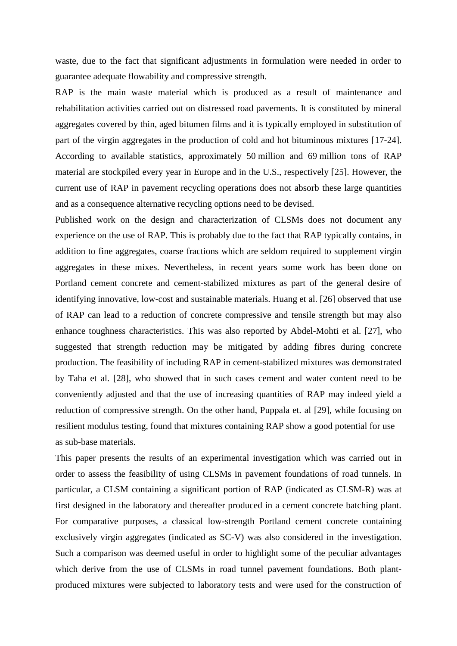waste, due to the fact that significant adjustments in formulation were needed in order to guarantee adequate flowability and compressive strength.

RAP is the main waste material which is produced as a result of maintenance and rehabilitation activities carried out on distressed road pavements. It is constituted by mineral aggregates covered by thin, aged bitumen films and it is typically employed in substitution of part of the virgin aggregates in the production of cold and hot bituminous mixtures [17-24]. According to available statistics, approximately 50 million and 69 million tons of RAP material are stockpiled every year in Europe and in the U.S., respectively [25]. However, the current use of RAP in pavement recycling operations does not absorb these large quantities and as a consequence alternative recycling options need to be devised.

Published work on the design and characterization of CLSMs does not document any experience on the use of RAP. This is probably due to the fact that RAP typically contains, in addition to fine aggregates, coarse fractions which are seldom required to supplement virgin aggregates in these mixes. Nevertheless, in recent years some work has been done on Portland cement concrete and cement-stabilized mixtures as part of the general desire of identifying innovative, low-cost and sustainable materials. Huang et al. [26] observed that use of RAP can lead to a reduction of concrete compressive and tensile strength but may also enhance toughness characteristics. This was also reported by Abdel-Mohti et al. [27], who suggested that strength reduction may be mitigated by adding fibres during concrete production. The feasibility of including RAP in cement-stabilized mixtures was demonstrated by Taha et al. [28], who showed that in such cases cement and water content need to be conveniently adjusted and that the use of increasing quantities of RAP may indeed yield a reduction of compressive strength. On the other hand, Puppala et. al [29], while focusing on resilient modulus testing, found that mixtures containing RAP show a good potential for use as sub-base materials.

This paper presents the results of an experimental investigation which was carried out in order to assess the feasibility of using CLSMs in pavement foundations of road tunnels. In particular, a CLSM containing a significant portion of RAP (indicated as CLSM-R) was at first designed in the laboratory and thereafter produced in a cement concrete batching plant. For comparative purposes, a classical low-strength Portland cement concrete containing exclusively virgin aggregates (indicated as SC-V) was also considered in the investigation. Such a comparison was deemed useful in order to highlight some of the peculiar advantages which derive from the use of CLSMs in road tunnel pavement foundations. Both plantproduced mixtures were subjected to laboratory tests and were used for the construction of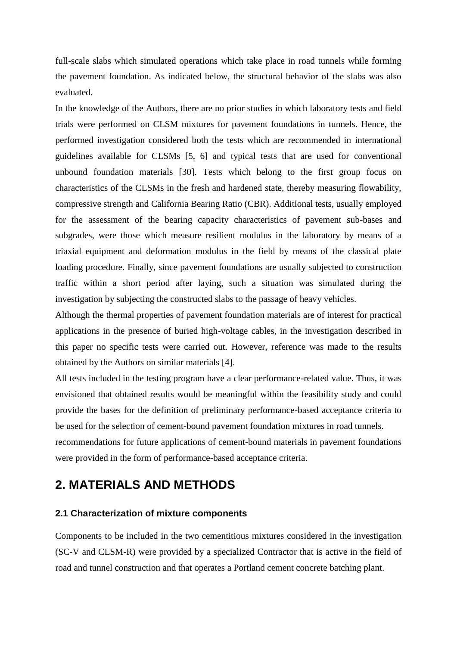full-scale slabs which simulated operations which take place in road tunnels while forming the pavement foundation. As indicated below, the structural behavior of the slabs was also evaluated.

In the knowledge of the Authors, there are no prior studies in which laboratory tests and field trials were performed on CLSM mixtures for pavement foundations in tunnels. Hence, the performed investigation considered both the tests which are recommended in international guidelines available for CLSMs [5, 6] and typical tests that are used for conventional unbound foundation materials [30]. Tests which belong to the first group focus on characteristics of the CLSMs in the fresh and hardened state, thereby measuring flowability, compressive strength and California Bearing Ratio (CBR). Additional tests, usually employed for the assessment of the bearing capacity characteristics of pavement sub-bases and subgrades, were those which measure resilient modulus in the laboratory by means of a triaxial equipment and deformation modulus in the field by means of the classical plate loading procedure. Finally, since pavement foundations are usually subjected to construction traffic within a short period after laying, such a situation was simulated during the investigation by subjecting the constructed slabs to the passage of heavy vehicles.

Although the thermal properties of pavement foundation materials are of interest for practical applications in the presence of buried high-voltage cables, in the investigation described in this paper no specific tests were carried out. However, reference was made to the results obtained by the Authors on similar materials [4].

All tests included in the testing program have a clear performance-related value. Thus, it was envisioned that obtained results would be meaningful within the feasibility study and could provide the bases for the definition of preliminary performance-based acceptance criteria to be used for the selection of cement-bound pavement foundation mixtures in road tunnels.

recommendations for future applications of cement-bound materials in pavement foundations were provided in the form of performance-based acceptance criteria.

### **2. MATERIALS AND METHODS**

#### **2.1 Characterization of mixture components**

Components to be included in the two cementitious mixtures considered in the investigation (SC-V and CLSM-R) were provided by a specialized Contractor that is active in the field of road and tunnel construction and that operates a Portland cement concrete batching plant.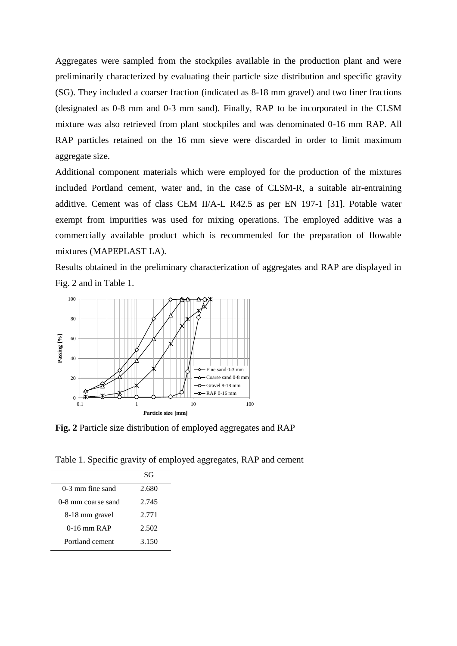Aggregates were sampled from the stockpiles available in the production plant and were preliminarily characterized by evaluating their particle size distribution and specific gravity (SG). They included a coarser fraction (indicated as 8-18 mm gravel) and two finer fractions (designated as 0-8 mm and 0-3 mm sand). Finally, RAP to be incorporated in the CLSM mixture was also retrieved from plant stockpiles and was denominated 0-16 mm RAP. All RAP particles retained on the 16 mm sieve were discarded in order to limit maximum aggregate size.

Additional component materials which were employed for the production of the mixtures included Portland cement, water and, in the case of CLSM-R, a suitable air-entraining additive. Cement was of class CEM II/A-L R42.5 as per EN 197-1 [31]. Potable water exempt from impurities was used for mixing operations. The employed additive was a commercially available product which is recommended for the preparation of flowable mixtures (MAPEPLAST LA).

Results obtained in the preliminary characterization of aggregates and RAP are displayed in Fig. 2 and in Table 1.



**Fig. 2** Particle size distribution of employed aggregates and RAP

Table 1. Specific gravity of employed aggregates, RAP and cement

|                    | SG    |
|--------------------|-------|
| $0-3$ mm fine sand | 2.680 |
| 0-8 mm coarse sand | 2.745 |
| 8-18 mm gravel     | 2.771 |
| $0-16$ mm RAP      | 2.502 |
| Portland cement    | 3.150 |
|                    |       |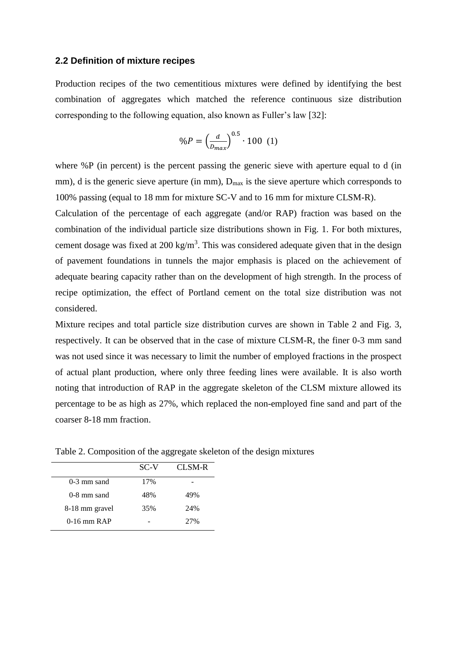#### **2.2 Definition of mixture recipes**

Production recipes of the two cementitious mixtures were defined by identifying the best combination of aggregates which matched the reference continuous size distribution corresponding to the following equation, also known as Fuller's law  $[32]$ :

$$
\%P = \left(\frac{d}{D_{max}}\right)^{0.5} \cdot 100 \tag{1}
$$

where %P (in percent) is the percent passing the generic sieve with aperture equal to d (in mm), d is the generic sieve aperture (in mm),  $D_{\text{max}}$  is the sieve aperture which corresponds to 100% passing (equal to 18 mm for mixture SC-V and to 16 mm for mixture CLSM-R).

Calculation of the percentage of each aggregate (and/or RAP) fraction was based on the combination of the individual particle size distributions shown in Fig. 1. For both mixtures, cement dosage was fixed at 200 kg/m<sup>3</sup>. This was considered adequate given that in the design of pavement foundations in tunnels the major emphasis is placed on the achievement of adequate bearing capacity rather than on the development of high strength. In the process of recipe optimization, the effect of Portland cement on the total size distribution was not considered.

Mixture recipes and total particle size distribution curves are shown in Table 2 and Fig. 3, respectively. It can be observed that in the case of mixture CLSM-R, the finer 0-3 mm sand was not used since it was necessary to limit the number of employed fractions in the prospect of actual plant production, where only three feeding lines were available. It is also worth noting that introduction of RAP in the aggregate skeleton of the CLSM mixture allowed its percentage to be as high as 27%, which replaced the non-employed fine sand and part of the coarser 8-18 mm fraction.

|                | SC-V | CL SM-R |
|----------------|------|---------|
| $0-3$ mm sand  | 17%  |         |
| $0-8$ mm sand  | 48%  | 49%     |
| 8-18 mm gravel | 35%  | 2.4%    |
| $0-16$ mm RAP  |      | 27%     |

Table 2. Composition of the aggregate skeleton of the design mixtures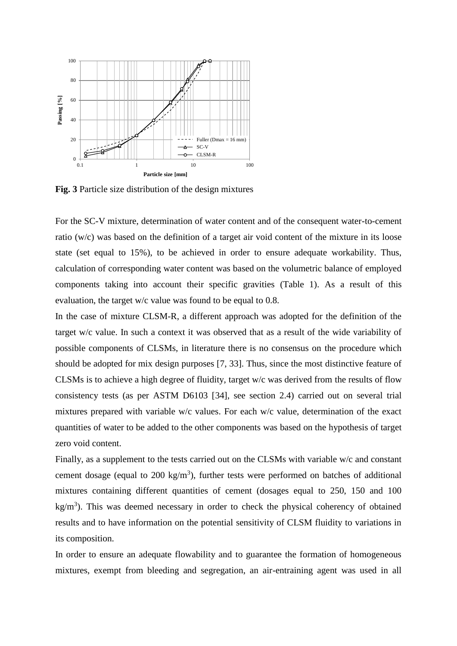

**Fig. 3** Particle size distribution of the design mixtures

For the SC-V mixture, determination of water content and of the consequent water-to-cement ratio (w/c) was based on the definition of a target air void content of the mixture in its loose state (set equal to 15%), to be achieved in order to ensure adequate workability. Thus, calculation of corresponding water content was based on the volumetric balance of employed components taking into account their specific gravities (Table 1). As a result of this evaluation, the target w/c value was found to be equal to 0.8.

In the case of mixture CLSM-R, a different approach was adopted for the definition of the target w/c value. In such a context it was observed that as a result of the wide variability of possible components of CLSMs, in literature there is no consensus on the procedure which should be adopted for mix design purposes [7, 33]. Thus, since the most distinctive feature of CLSMs is to achieve a high degree of fluidity, target w/c was derived from the results of flow consistency tests (as per ASTM D6103 [34], see section 2.4) carried out on several trial mixtures prepared with variable w/c values. For each w/c value, determination of the exact quantities of water to be added to the other components was based on the hypothesis of target zero void content.

Finally, as a supplement to the tests carried out on the CLSMs with variable w/c and constant cement dosage (equal to  $200 \text{ kg/m}^3$ ), further tests were performed on batches of additional mixtures containing different quantities of cement (dosages equal to 250, 150 and 100  $kg/m<sup>3</sup>$ ). This was deemed necessary in order to check the physical coherency of obtained results and to have information on the potential sensitivity of CLSM fluidity to variations in its composition.

In order to ensure an adequate flowability and to guarantee the formation of homogeneous mixtures, exempt from bleeding and segregation, an air-entraining agent was used in all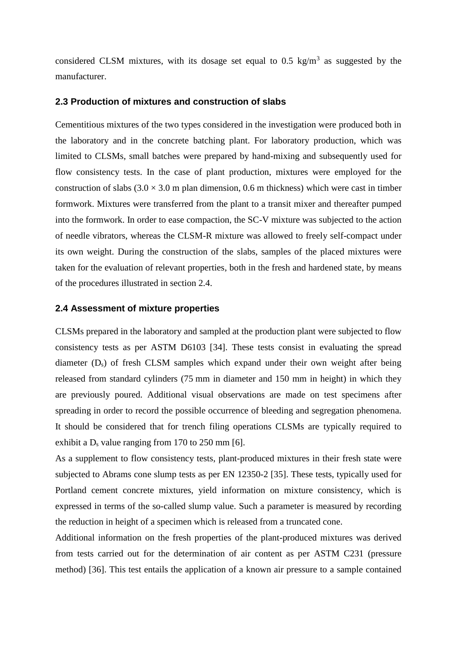considered CLSM mixtures, with its dosage set equal to 0.5 kg/m<sup>3</sup> as suggested by the manufacturer.

#### **2.3 Production of mixtures and construction of slabs**

Cementitious mixtures of the two types considered in the investigation were produced both in the laboratory and in the concrete batching plant. For laboratory production, which was limited to CLSMs, small batches were prepared by hand-mixing and subsequently used for flow consistency tests. In the case of plant production, mixtures were employed for the construction of slabs  $(3.0 \times 3.0 \text{ m}$  plan dimension, 0.6 m thickness) which were cast in timber formwork. Mixtures were transferred from the plant to a transit mixer and thereafter pumped into the formwork. In order to ease compaction, the SC-V mixture was subjected to the action of needle vibrators, whereas the CLSM-R mixture was allowed to freely self-compact under its own weight. During the construction of the slabs, samples of the placed mixtures were taken for the evaluation of relevant properties, both in the fresh and hardened state, by means of the procedures illustrated in section 2.4.

#### **2.4 Assessment of mixture properties**

CLSMs prepared in the laboratory and sampled at the production plant were subjected to flow consistency tests as per ASTM D6103 [34]. These tests consist in evaluating the spread diameter (Ds) of fresh CLSM samples which expand under their own weight after being released from standard cylinders (75 mm in diameter and 150 mm in height) in which they are previously poured. Additional visual observations are made on test specimens after spreading in order to record the possible occurrence of bleeding and segregation phenomena. It should be considered that for trench filing operations CLSMs are typically required to exhibit a  $D_s$  value ranging from 170 to 250 mm [6].

As a supplement to flow consistency tests, plant-produced mixtures in their fresh state were subjected to Abrams cone slump tests as per EN 12350-2 [35]. These tests, typically used for Portland cement concrete mixtures, yield information on mixture consistency, which is expressed in terms of the so-called slump value. Such a parameter is measured by recording the reduction in height of a specimen which is released from a truncated cone.

Additional information on the fresh properties of the plant-produced mixtures was derived from tests carried out for the determination of air content as per ASTM C231 (pressure method) [36]. This test entails the application of a known air pressure to a sample contained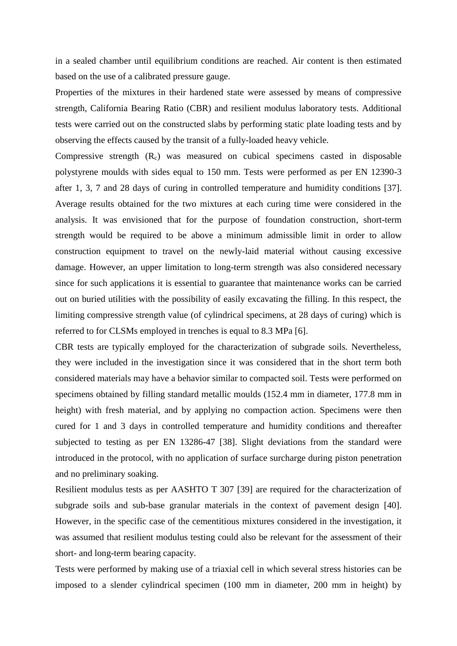in a sealed chamber until equilibrium conditions are reached. Air content is then estimated based on the use of a calibrated pressure gauge.

Properties of the mixtures in their hardened state were assessed by means of compressive strength, California Bearing Ratio (CBR) and resilient modulus laboratory tests. Additional tests were carried out on the constructed slabs by performing static plate loading tests and by observing the effects caused by the transit of a fully-loaded heavy vehicle.

Compressive strength  $(R<sub>c</sub>)$  was measured on cubical specimens casted in disposable polystyrene moulds with sides equal to 150 mm. Tests were performed as per EN 12390-3 after 1, 3, 7 and 28 days of curing in controlled temperature and humidity conditions [37]. Average results obtained for the two mixtures at each curing time were considered in the analysis. It was envisioned that for the purpose of foundation construction, short-term strength would be required to be above a minimum admissible limit in order to allow construction equipment to travel on the newly-laid material without causing excessive damage. However, an upper limitation to long-term strength was also considered necessary since for such applications it is essential to guarantee that maintenance works can be carried out on buried utilities with the possibility of easily excavating the filling. In this respect, the limiting compressive strength value (of cylindrical specimens, at 28 days of curing) which is referred to for CLSMs employed in trenches is equal to 8.3 MPa [6].

CBR tests are typically employed for the characterization of subgrade soils. Nevertheless, they were included in the investigation since it was considered that in the short term both considered materials may have a behavior similar to compacted soil. Tests were performed on specimens obtained by filling standard metallic moulds (152.4 mm in diameter, 177.8 mm in height) with fresh material, and by applying no compaction action. Specimens were then cured for 1 and 3 days in controlled temperature and humidity conditions and thereafter subjected to testing as per EN 13286-47 [38]. Slight deviations from the standard were introduced in the protocol, with no application of surface surcharge during piston penetration and no preliminary soaking.

Resilient modulus tests as per AASHTO T 307 [39] are required for the characterization of subgrade soils and sub-base granular materials in the context of pavement design [40]. However, in the specific case of the cementitious mixtures considered in the investigation, it was assumed that resilient modulus testing could also be relevant for the assessment of their short- and long-term bearing capacity.

Tests were performed by making use of a triaxial cell in which several stress histories can be imposed to a slender cylindrical specimen (100 mm in diameter, 200 mm in height) by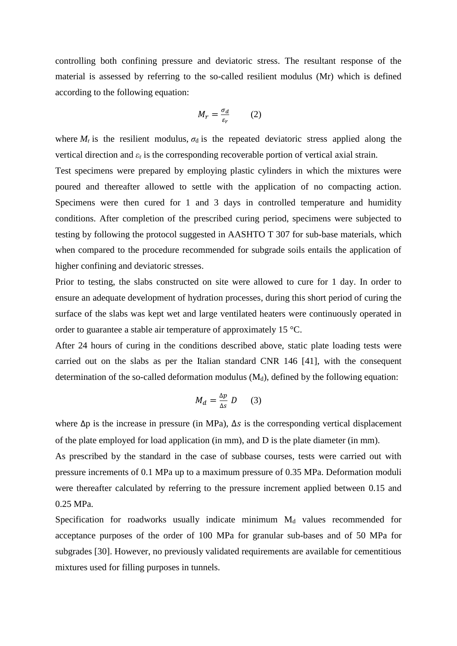controlling both confining pressure and deviatoric stress. The resultant response of the material is assessed by referring to the so-called resilient modulus (Mr) which is defined according to the following equation:

$$
M_r = \frac{\sigma_d}{\varepsilon_r} \qquad (2)
$$

where  $M_r$  is the resilient modulus,  $\sigma_d$  is the repeated deviatoric stress applied along the vertical direction and *ε*<sup>r</sup> is the corresponding recoverable portion of vertical axial strain.

Test specimens were prepared by employing plastic cylinders in which the mixtures were poured and thereafter allowed to settle with the application of no compacting action. Specimens were then cured for 1 and 3 days in controlled temperature and humidity conditions. After completion of the prescribed curing period, specimens were subjected to testing by following the protocol suggested in AASHTO T 307 for sub-base materials, which when compared to the procedure recommended for subgrade soils entails the application of higher confining and deviatoric stresses.

Prior to testing, the slabs constructed on site were allowed to cure for 1 day. In order to ensure an adequate development of hydration processes, during this short period of curing the surface of the slabs was kept wet and large ventilated heaters were continuously operated in order to guarantee a stable air temperature of approximately 15 °C.

After 24 hours of curing in the conditions described above, static plate loading tests were carried out on the slabs as per the Italian standard CNR 146 [41], with the consequent determination of the so-called deformation modulus  $(M_d)$ , defined by the following equation:

$$
M_d = \frac{\Delta p}{\Delta s} D \qquad (3)
$$

where  $\Delta p$  is the increase in pressure (in MPa),  $\Delta s$  is the corresponding vertical displacement of the plate employed for load application (in mm), and D is the plate diameter (in mm).

As prescribed by the standard in the case of subbase courses, tests were carried out with pressure increments of 0.1 MPa up to a maximum pressure of 0.35 MPa. Deformation moduli were thereafter calculated by referring to the pressure increment applied between 0.15 and 0.25 MPa.

Specification for roadworks usually indicate minimum  $M<sub>d</sub>$  values recommended for acceptance purposes of the order of 100 MPa for granular sub-bases and of 50 MPa for subgrades [30]. However, no previously validated requirements are available for cementitious mixtures used for filling purposes in tunnels.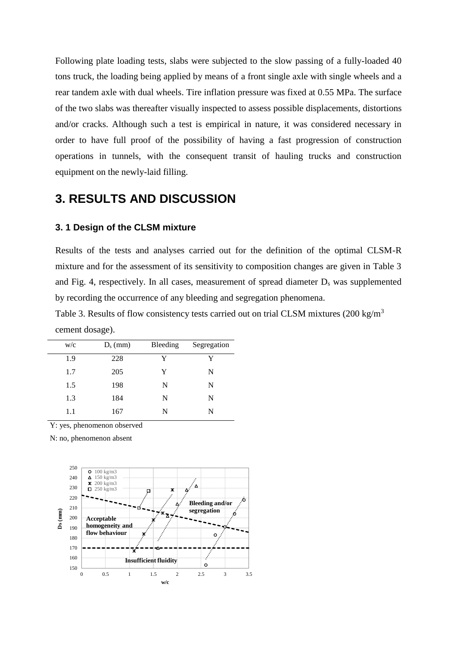Following plate loading tests, slabs were subjected to the slow passing of a fully-loaded 40 tons truck, the loading being applied by means of a front single axle with single wheels and a rear tandem axle with dual wheels. Tire inflation pressure was fixed at 0.55 MPa. The surface of the two slabs was thereafter visually inspected to assess possible displacements, distortions and/or cracks. Although such a test is empirical in nature, it was considered necessary in order to have full proof of the possibility of having a fast progression of construction operations in tunnels, with the consequent transit of hauling trucks and construction equipment on the newly-laid filling.

### **3. RESULTS AND DISCUSSION**

#### **3. 1 Design of the CLSM mixture**

Results of the tests and analyses carried out for the definition of the optimal CLSM-R mixture and for the assessment of its sensitivity to composition changes are given in Table 3 and Fig. 4, respectively. In all cases, measurement of spread diameter D<sup>s</sup> was supplemented by recording the occurrence of any bleeding and segregation phenomena.

Table 3. Results of flow consistency tests carried out on trial CLSM mixtures  $(200 \text{ kg/m}^3)$ cement dosage).

| W/c | $D_s$ (mm) | Bleeding | Segregation |
|-----|------------|----------|-------------|
| 1.9 | 228        | Y        | Y           |
| 1.7 | 205        | Y        | N           |
| 1.5 | 198        | N        | N           |
| 1.3 | 184        | N        | N           |
| 1.1 | 167        | N        | N           |

Y: yes, phenomenon observed

N: no, phenomenon absent

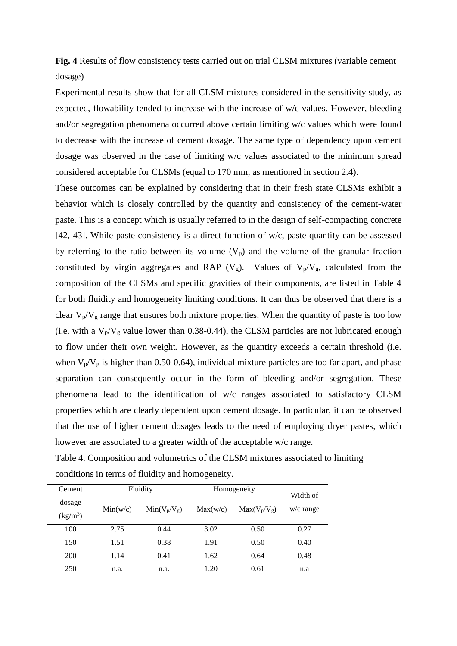**Fig. 4** Results of flow consistency tests carried out on trial CLSM mixtures (variable cement dosage)

Experimental results show that for all CLSM mixtures considered in the sensitivity study, as expected, flowability tended to increase with the increase of w/c values. However, bleeding and/or segregation phenomena occurred above certain limiting w/c values which were found to decrease with the increase of cement dosage. The same type of dependency upon cement dosage was observed in the case of limiting w/c values associated to the minimum spread considered acceptable for CLSMs (equal to 170 mm, as mentioned in section 2.4).

These outcomes can be explained by considering that in their fresh state CLSMs exhibit a behavior which is closely controlled by the quantity and consistency of the cement-water paste. This is a concept which is usually referred to in the design of self-compacting concrete [42, 43]. While paste consistency is a direct function of w/c, paste quantity can be assessed by referring to the ratio between its volume  $(V_p)$  and the volume of the granular fraction constituted by virgin aggregates and RAP ( $V_g$ ). Values of  $V_p/V_g$ , calculated from the composition of the CLSMs and specific gravities of their components, are listed in Table 4 for both fluidity and homogeneity limiting conditions. It can thus be observed that there is a clear  $V_p/V_g$  range that ensures both mixture properties. When the quantity of paste is too low (i.e. with a  $V_p/V_g$  value lower than 0.38-0.44), the CLSM particles are not lubricated enough to flow under their own weight. However, as the quantity exceeds a certain threshold (i.e. when  $V_p/V_g$  is higher than 0.50-0.64), individual mixture particles are too far apart, and phase separation can consequently occur in the form of bleeding and/or segregation. These phenomena lead to the identification of w/c ranges associated to satisfactory CLSM properties which are clearly dependent upon cement dosage. In particular, it can be observed that the use of higher cement dosages leads to the need of employing dryer pastes, which however are associated to a greater width of the acceptable w/c range.

| Table 4. Composition and volumetrics of the CLSM mixtures associated to limiting |  |
|----------------------------------------------------------------------------------|--|
| conditions in terms of fluidity and homogeneity.                                 |  |

| Cement               |          | Fluidity       | Homogeneity | Width of       |             |
|----------------------|----------|----------------|-------------|----------------|-------------|
| dosage<br>$(kg/m^3)$ | Min(w/c) | $Min(V_p/V_g)$ | Max(w/c)    | $Max(V_p/V_g)$ | $w/c$ range |
| 100                  | 2.75     | 0.44           | 3.02        | 0.50           | 0.27        |
| 150                  | 1.51     | 0.38           | 1.91        | 0.50           | 0.40        |
| <b>200</b>           | 1.14     | 0.41           | 1.62        | 0.64           | 0.48        |
| 250                  | n.a.     | n.a.           | 1.20        | 0.61           | n.a         |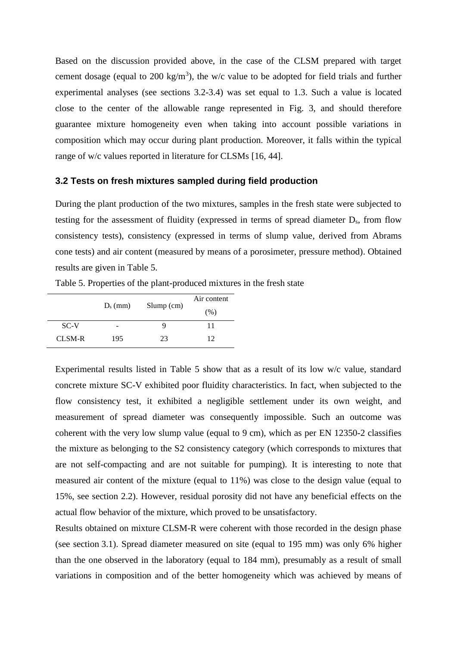Based on the discussion provided above, in the case of the CLSM prepared with target cement dosage (equal to 200 kg/m<sup>3</sup>), the w/c value to be adopted for field trials and further experimental analyses (see sections 3.2-3.4) was set equal to 1.3. Such a value is located close to the center of the allowable range represented in Fig. 3, and should therefore guarantee mixture homogeneity even when taking into account possible variations in composition which may occur during plant production. Moreover, it falls within the typical range of w/c values reported in literature for CLSMs [16, 44].

#### **3.2 Tests on fresh mixtures sampled during field production**

During the plant production of the two mixtures, samples in the fresh state were subjected to testing for the assessment of fluidity (expressed in terms of spread diameter Ds, from flow consistency tests), consistency (expressed in terms of slump value, derived from Abrams cone tests) and air content (measured by means of a porosimeter, pressure method). Obtained results are given in Table 5.

|        |            |              | Air content |  |
|--------|------------|--------------|-------------|--|
|        | $D_s$ (mm) | $Slump$ (cm) | (% )        |  |
| SC-V   | -          | Ч            | 11          |  |
| CLSM-R | 195        | 23           | 12          |  |

Table 5. Properties of the plant-produced mixtures in the fresh state

Experimental results listed in Table 5 show that as a result of its low w/c value, standard concrete mixture SC-V exhibited poor fluidity characteristics. In fact, when subjected to the flow consistency test, it exhibited a negligible settlement under its own weight, and measurement of spread diameter was consequently impossible. Such an outcome was coherent with the very low slump value (equal to 9 cm), which as per EN 12350-2 classifies the mixture as belonging to the S2 consistency category (which corresponds to mixtures that are not self-compacting and are not suitable for pumping). It is interesting to note that measured air content of the mixture (equal to 11%) was close to the design value (equal to 15%, see section 2.2). However, residual porosity did not have any beneficial effects on the actual flow behavior of the mixture, which proved to be unsatisfactory.

Results obtained on mixture CLSM-R were coherent with those recorded in the design phase (see section 3.1). Spread diameter measured on site (equal to 195 mm) was only 6% higher than the one observed in the laboratory (equal to 184 mm), presumably as a result of small variations in composition and of the better homogeneity which was achieved by means of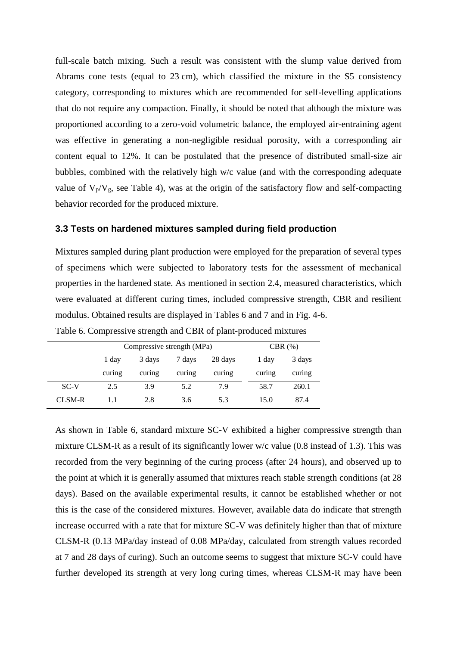full-scale batch mixing. Such a result was consistent with the slump value derived from Abrams cone tests (equal to 23 cm), which classified the mixture in the S5 consistency category, corresponding to mixtures which are recommended for self-levelling applications that do not require any compaction. Finally, it should be noted that although the mixture was proportioned according to a zero-void volumetric balance, the employed air-entraining agent was effective in generating a non-negligible residual porosity, with a corresponding air content equal to 12%. It can be postulated that the presence of distributed small-size air bubbles, combined with the relatively high w/c value (and with the corresponding adequate value of  $V_p/V_g$ , see Table 4), was at the origin of the satisfactory flow and self-compacting behavior recorded for the produced mixture.

#### **3.3 Tests on hardened mixtures sampled during field production**

Mixtures sampled during plant production were employed for the preparation of several types of specimens which were subjected to laboratory tests for the assessment of mechanical properties in the hardened state. As mentioned in section 2.4, measured characteristics, which were evaluated at different curing times, included compressive strength, CBR and resilient modulus. Obtained results are displayed in Tables 6 and 7 and in Fig. 4-6.

|        | Compressive strength (MPa) |        |        |         | $CBR$ $(\%)$ |        |  |
|--------|----------------------------|--------|--------|---------|--------------|--------|--|
|        | 1 day                      | 3 days | 7 days | 28 days | 1 day        | 3 days |  |
|        | curing                     | curing | curing | curing  | curing       | curing |  |
| SC-V   | 2.5                        | 3.9    | 5.2    | 7.9     | 58.7         | 260.1  |  |
| CLSM-R |                            | 2.8    | 3.6    | 5.3     | 15.0         | 87.4   |  |

Table 6. Compressive strength and CBR of plant-produced mixtures

As shown in Table 6, standard mixture SC-V exhibited a higher compressive strength than mixture CLSM-R as a result of its significantly lower w/c value (0.8 instead of 1.3). This was recorded from the very beginning of the curing process (after 24 hours), and observed up to the point at which it is generally assumed that mixtures reach stable strength conditions (at 28 days). Based on the available experimental results, it cannot be established whether or not this is the case of the considered mixtures. However, available data do indicate that strength increase occurred with a rate that for mixture SC-V was definitely higher than that of mixture CLSM-R (0.13 MPa/day instead of 0.08 MPa/day, calculated from strength values recorded at 7 and 28 days of curing). Such an outcome seems to suggest that mixture SC-V could have further developed its strength at very long curing times, whereas CLSM-R may have been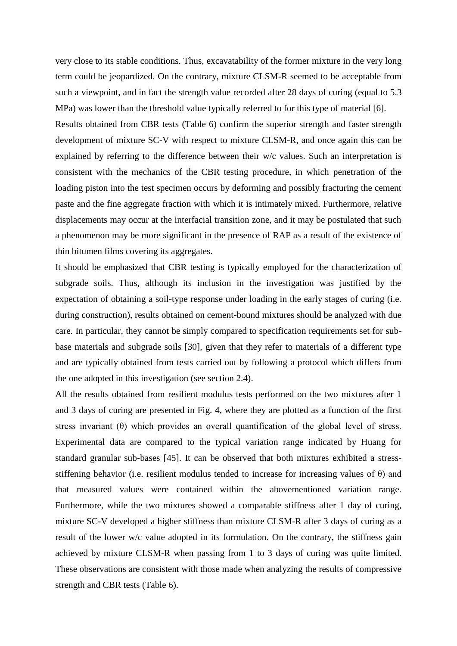very close to its stable conditions. Thus, excavatability of the former mixture in the very long term could be jeopardized. On the contrary, mixture CLSM-R seemed to be acceptable from such a viewpoint, and in fact the strength value recorded after 28 days of curing (equal to 5.3 MPa) was lower than the threshold value typically referred to for this type of material [6].

Results obtained from CBR tests (Table 6) confirm the superior strength and faster strength development of mixture SC-V with respect to mixture CLSM-R, and once again this can be explained by referring to the difference between their w/c values. Such an interpretation is consistent with the mechanics of the CBR testing procedure, in which penetration of the loading piston into the test specimen occurs by deforming and possibly fracturing the cement paste and the fine aggregate fraction with which it is intimately mixed. Furthermore, relative displacements may occur at the interfacial transition zone, and it may be postulated that such a phenomenon may be more significant in the presence of RAP as a result of the existence of thin bitumen films covering its aggregates.

It should be emphasized that CBR testing is typically employed for the characterization of subgrade soils. Thus, although its inclusion in the investigation was justified by the expectation of obtaining a soil-type response under loading in the early stages of curing (i.e. during construction), results obtained on cement-bound mixtures should be analyzed with due care. In particular, they cannot be simply compared to specification requirements set for subbase materials and subgrade soils [30], given that they refer to materials of a different type and are typically obtained from tests carried out by following a protocol which differs from the one adopted in this investigation (see section 2.4).

All the results obtained from resilient modulus tests performed on the two mixtures after 1 and 3 days of curing are presented in Fig. 4, where they are plotted as a function of the first stress invariant  $(\theta)$  which provides an overall quantification of the global level of stress. Experimental data are compared to the typical variation range indicated by Huang for standard granular sub-bases [45]. It can be observed that both mixtures exhibited a stressstiffening behavior (i.e. resilient modulus tended to increase for increasing values of  $\theta$ ) and that measured values were contained within the abovementioned variation range. Furthermore, while the two mixtures showed a comparable stiffness after 1 day of curing, mixture SC-V developed a higher stiffness than mixture CLSM-R after 3 days of curing as a result of the lower w/c value adopted in its formulation. On the contrary, the stiffness gain achieved by mixture CLSM-R when passing from 1 to 3 days of curing was quite limited. These observations are consistent with those made when analyzing the results of compressive strength and CBR tests (Table 6).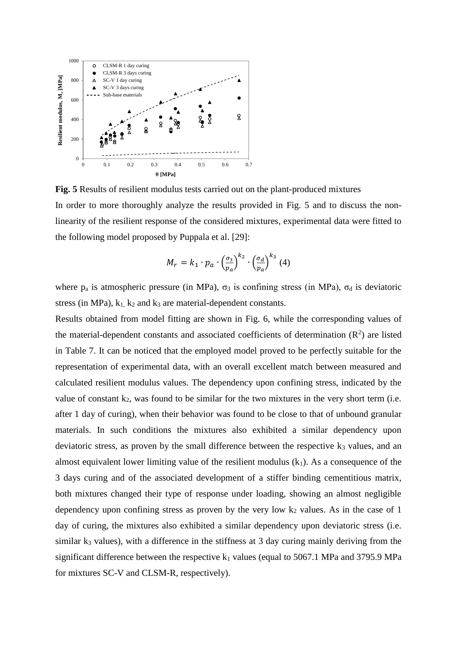

**Fig. 5** Results of resilient modulus tests carried out on the plant-produced mixtures In order to more thoroughly analyze the results provided in Fig. 5 and to discuss the nonlinearity of the resilient response of the considered mixtures, experimental data were fitted to the following model proposed by Puppala et al. [29]:

$$
M_r = k_1 \cdot p_a \cdot \left(\frac{\sigma_3}{p_a}\right)^{k_2} \cdot \left(\frac{\sigma_d}{p_a}\right)^{k_3} (4)
$$

where  $p_a$  is atmospheric pressure (in MPa),  $\sigma_3$  is confining stress (in MPa),  $\sigma_d$  is deviatoric stress (in MPa),  $k_1$ ,  $k_2$  and  $k_3$  are material-dependent constants.

Results obtained from model fitting are shown in Fig. 6, while the corresponding values of the material-dependent constants and associated coefficients of determination  $(R^2)$  are listed in Table 7. It can be noticed that the employed model proved to be perfectly suitable for the representation of experimental data, with an overall excellent match between measured and calculated resilient modulus values. The dependency upon confining stress, indicated by the value of constant  $k_2$ , was found to be similar for the two mixtures in the very short term (i.e. after 1 day of curing), when their behavior was found to be close to that of unbound granular materials. In such conditions the mixtures also exhibited a similar dependency upon deviatoric stress, as proven by the small difference between the respective  $k_3$  values, and an almost equivalent lower limiting value of the resilient modulus  $(k_1)$ . As a consequence of the 3 days curing and of the associated development of a stiffer binding cementitious matrix, both mixtures changed their type of response under loading, showing an almost negligible dependency upon confining stress as proven by the very low  $k_2$  values. As in the case of 1 day of curing, the mixtures also exhibited a similar dependency upon deviatoric stress (i.e. similar  $k_3$  values), with a difference in the stiffness at 3 day curing mainly deriving from the significant difference between the respective  $k_1$  values (equal to 5067.1 MPa and 3795.9 MPa for mixtures SC-V and CLSM-R, respectively).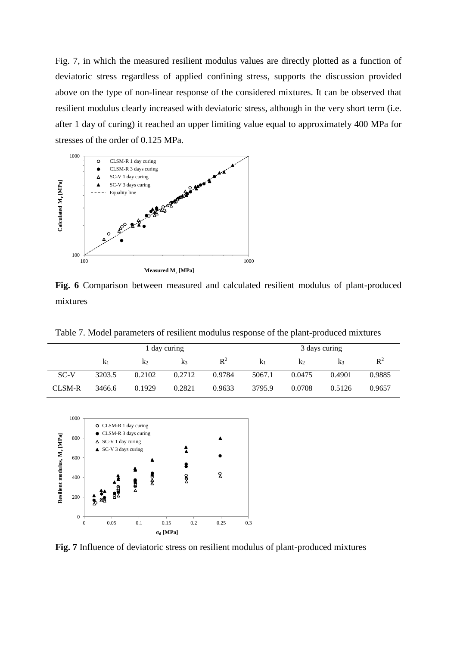Fig. 7, in which the measured resilient modulus values are directly plotted as a function of deviatoric stress regardless of applied confining stress, supports the discussion provided above on the type of non-linear response of the considered mixtures. It can be observed that resilient modulus clearly increased with deviatoric stress, although in the very short term (i.e. after 1 day of curing) it reached an upper limiting value equal to approximately 400 MPa for stresses of the order of 0.125 MPa.



**Fig. 6** Comparison between measured and calculated resilient modulus of plant-produced mixtures

Table 7. Model parameters of resilient modulus response of the plant-produced mixtures

|        | 1 day curing   |        |        | 3 days curing  |                |        |        |                |
|--------|----------------|--------|--------|----------------|----------------|--------|--------|----------------|
|        | K <sub>1</sub> | $K_2$  | $K_3$  | $\mathbb{R}^2$ | K <sub>1</sub> | $K_2$  | K3     | $\mathbb{R}^2$ |
| SC-V   | 3203.5         | 0.2102 | 0.2712 | 0.9784         | 5067.1         | 0.0475 | 0.4901 | 0.9885         |
| CLSM-R | 3466.6         | 0.1929 | 0.2821 | 0.9633         | 3795.9         | 0.0708 | 0.5126 | 0.9657         |



**Fig. 7** Influence of deviatoric stress on resilient modulus of plant-produced mixtures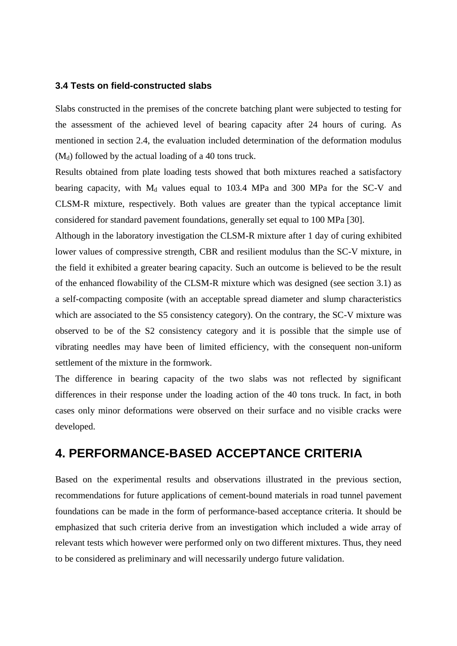#### **3.4 Tests on field-constructed slabs**

Slabs constructed in the premises of the concrete batching plant were subjected to testing for the assessment of the achieved level of bearing capacity after 24 hours of curing. As mentioned in section 2.4, the evaluation included determination of the deformation modulus  $(M_d)$  followed by the actual loading of a 40 tons truck.

Results obtained from plate loading tests showed that both mixtures reached a satisfactory bearing capacity, with  $M_d$  values equal to 103.4 MPa and 300 MPa for the SC-V and CLSM-R mixture, respectively. Both values are greater than the typical acceptance limit considered for standard pavement foundations, generally set equal to 100 MPa [30].

Although in the laboratory investigation the CLSM-R mixture after 1 day of curing exhibited lower values of compressive strength, CBR and resilient modulus than the SC-V mixture, in the field it exhibited a greater bearing capacity. Such an outcome is believed to be the result of the enhanced flowability of the CLSM-R mixture which was designed (see section 3.1) as a self-compacting composite (with an acceptable spread diameter and slump characteristics which are associated to the S5 consistency category). On the contrary, the SC-V mixture was observed to be of the S2 consistency category and it is possible that the simple use of vibrating needles may have been of limited efficiency, with the consequent non-uniform settlement of the mixture in the formwork.

The difference in bearing capacity of the two slabs was not reflected by significant differences in their response under the loading action of the 40 tons truck. In fact, in both cases only minor deformations were observed on their surface and no visible cracks were developed.

# **4. PERFORMANCE-BASED ACCEPTANCE CRITERIA**

Based on the experimental results and observations illustrated in the previous section, recommendations for future applications of cement-bound materials in road tunnel pavement foundations can be made in the form of performance-based acceptance criteria. It should be emphasized that such criteria derive from an investigation which included a wide array of relevant tests which however were performed only on two different mixtures. Thus, they need to be considered as preliminary and will necessarily undergo future validation.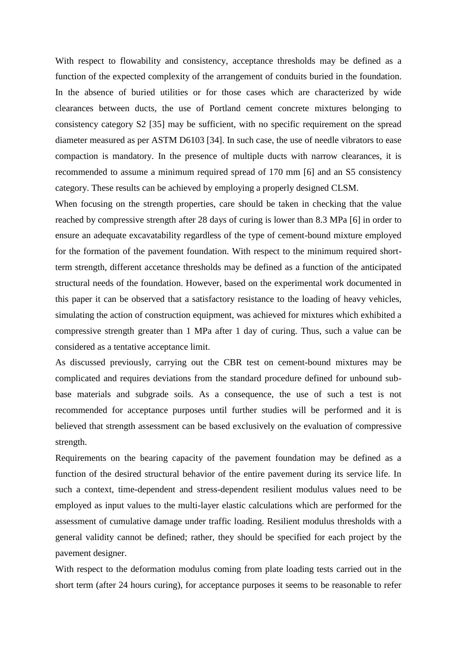With respect to flowability and consistency, acceptance thresholds may be defined as a function of the expected complexity of the arrangement of conduits buried in the foundation. In the absence of buried utilities or for those cases which are characterized by wide clearances between ducts, the use of Portland cement concrete mixtures belonging to consistency category S2 [35] may be sufficient, with no specific requirement on the spread diameter measured as per ASTM D6103 [34]. In such case, the use of needle vibrators to ease compaction is mandatory. In the presence of multiple ducts with narrow clearances, it is recommended to assume a minimum required spread of 170 mm [6] and an S5 consistency category. These results can be achieved by employing a properly designed CLSM.

When focusing on the strength properties, care should be taken in checking that the value reached by compressive strength after 28 days of curing is lower than 8.3 MPa [6] in order to ensure an adequate excavatability regardless of the type of cement-bound mixture employed for the formation of the pavement foundation. With respect to the minimum required shortterm strength, different accetance thresholds may be defined as a function of the anticipated structural needs of the foundation. However, based on the experimental work documented in this paper it can be observed that a satisfactory resistance to the loading of heavy vehicles, simulating the action of construction equipment, was achieved for mixtures which exhibited a compressive strength greater than 1 MPa after 1 day of curing. Thus, such a value can be considered as a tentative acceptance limit.

As discussed previously, carrying out the CBR test on cement-bound mixtures may be complicated and requires deviations from the standard procedure defined for unbound subbase materials and subgrade soils. As a consequence, the use of such a test is not recommended for acceptance purposes until further studies will be performed and it is believed that strength assessment can be based exclusively on the evaluation of compressive strength.

Requirements on the bearing capacity of the pavement foundation may be defined as a function of the desired structural behavior of the entire pavement during its service life. In such a context, time-dependent and stress-dependent resilient modulus values need to be employed as input values to the multi-layer elastic calculations which are performed for the assessment of cumulative damage under traffic loading. Resilient modulus thresholds with a general validity cannot be defined; rather, they should be specified for each project by the pavement designer.

With respect to the deformation modulus coming from plate loading tests carried out in the short term (after 24 hours curing), for acceptance purposes it seems to be reasonable to refer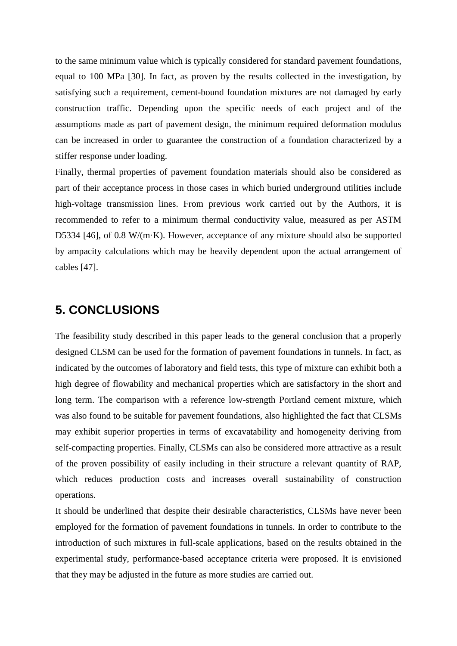to the same minimum value which is typically considered for standard pavement foundations, equal to 100 MPa [30]. In fact, as proven by the results collected in the investigation, by satisfying such a requirement, cement-bound foundation mixtures are not damaged by early construction traffic. Depending upon the specific needs of each project and of the assumptions made as part of pavement design, the minimum required deformation modulus can be increased in order to guarantee the construction of a foundation characterized by a stiffer response under loading.

Finally, thermal properties of pavement foundation materials should also be considered as part of their acceptance process in those cases in which buried underground utilities include high-voltage transmission lines. From previous work carried out by the Authors, it is recommended to refer to a minimum thermal conductivity value, measured as per ASTM D5334 [46], of 0.8 W/(m·K). However, acceptance of any mixture should also be supported by ampacity calculations which may be heavily dependent upon the actual arrangement of cables [47].

### **5. CONCLUSIONS**

The feasibility study described in this paper leads to the general conclusion that a properly designed CLSM can be used for the formation of pavement foundations in tunnels. In fact, as indicated by the outcomes of laboratory and field tests, this type of mixture can exhibit both a high degree of flowability and mechanical properties which are satisfactory in the short and long term. The comparison with a reference low-strength Portland cement mixture, which was also found to be suitable for pavement foundations, also highlighted the fact that CLSMs may exhibit superior properties in terms of excavatability and homogeneity deriving from self-compacting properties. Finally, CLSMs can also be considered more attractive as a result of the proven possibility of easily including in their structure a relevant quantity of RAP, which reduces production costs and increases overall sustainability of construction operations.

It should be underlined that despite their desirable characteristics, CLSMs have never been employed for the formation of pavement foundations in tunnels. In order to contribute to the introduction of such mixtures in full-scale applications, based on the results obtained in the experimental study, performance-based acceptance criteria were proposed. It is envisioned that they may be adjusted in the future as more studies are carried out.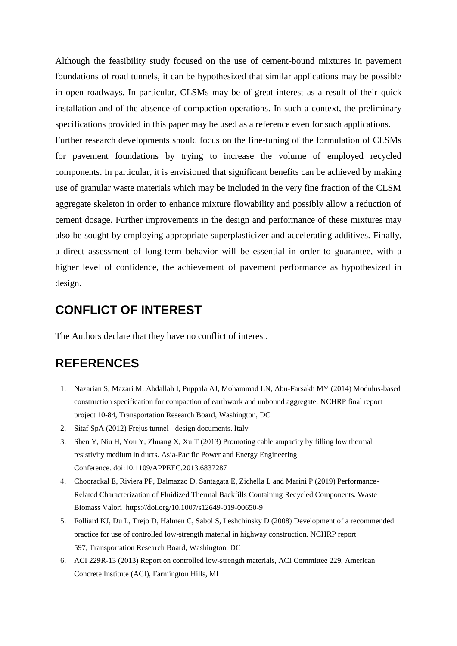Although the feasibility study focused on the use of cement-bound mixtures in pavement foundations of road tunnels, it can be hypothesized that similar applications may be possible in open roadways. In particular, CLSMs may be of great interest as a result of their quick installation and of the absence of compaction operations. In such a context, the preliminary specifications provided in this paper may be used as a reference even for such applications.

Further research developments should focus on the fine-tuning of the formulation of CLSMs for pavement foundations by trying to increase the volume of employed recycled components. In particular, it is envisioned that significant benefits can be achieved by making use of granular waste materials which may be included in the very fine fraction of the CLSM aggregate skeleton in order to enhance mixture flowability and possibly allow a reduction of cement dosage. Further improvements in the design and performance of these mixtures may also be sought by employing appropriate superplasticizer and accelerating additives. Finally, a direct assessment of long-term behavior will be essential in order to guarantee, with a higher level of confidence, the achievement of pavement performance as hypothesized in design.

### **CONFLICT OF INTEREST**

The Authors declare that they have no conflict of interest.

### **REFERENCES**

- 1. Nazarian S, Mazari M, Abdallah I, Puppala AJ, Mohammad LN, Abu-Farsakh MY (2014) Modulus-based construction specification for compaction of earthwork and unbound aggregate. NCHRP final report project 10-84, Transportation Research Board, Washington, DC
- 2. Sitaf SpA (2012) Frejus tunnel design documents. Italy
- 3. Shen Y, Niu H, You Y, Zhuang X, Xu T (2013) Promoting cable ampacity by filling low thermal resistivity medium in ducts. Asia-Pacific Power and Energy Engineering Conference. doi:10.1109/APPEEC.2013.6837287
- 4. Choorackal E, Riviera PP, Dalmazzo D, Santagata E, Zichella L and Marini P (2019) Performance-Related Characterization of Fluidized Thermal Backfills Containing Recycled Components. Waste Biomass Valori https://doi.org/10.1007/s12649-019-00650-9
- 5. Folliard KJ, Du L, Trejo D, Halmen C, Sabol S, Leshchinsky D (2008) Development of a recommended practice for use of controlled low-strength material in highway construction. NCHRP report 597, Transportation Research Board, Washington, DC
- 6. ACI 229R-13 (2013) Report on controlled low-strength materials, ACI Committee 229, American Concrete Institute (ACI), Farmington Hills, MI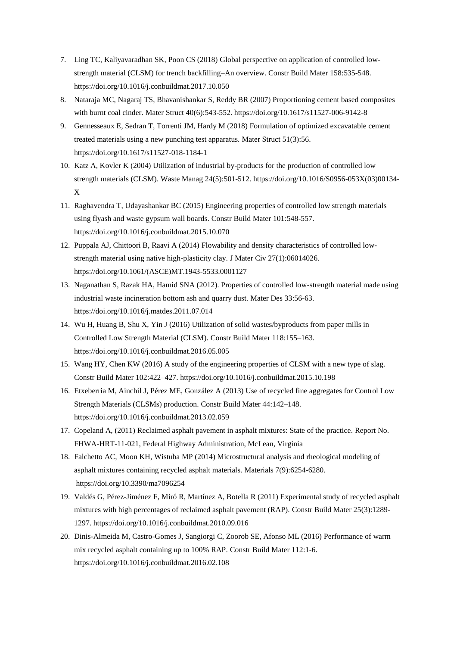- 7. Ling TC, Kaliyavaradhan SK, Poon CS (2018) Global perspective on application of controlled lowstrength material (CLSM) for trench backfilling–An overview. Constr Build Mater 158:535-548. https://doi.org/10.1016/j.conbuildmat.2017.10.050
- 8. Nataraja MC, Nagaraj TS, Bhavanishankar S, Reddy BR (2007) Proportioning cement based composites with burnt coal cinder. Mater Struct 40(6):543-552. https://doi.org/10.1617/s11527-006-9142-8
- 9. Gennesseaux E, Sedran T, Torrenti JM, Hardy M (2018) Formulation of optimized excavatable cement treated materials using a new punching test apparatus. Mater Struct 51(3):56. https://doi.org/10.1617/s11527-018-1184-1
- 10. Katz A, Kovler K (2004) Utilization of industrial by-products for the production of controlled low strength materials (CLSM). Waste Manag 24(5):501-512. [https://doi.org/10.1016/S0956-053X\(03\)00134-](https://doi.org/10.1016/S0956-053X(03)00134-X) [X](https://doi.org/10.1016/S0956-053X(03)00134-X)
- 11. Raghavendra T, Udayashankar BC (2015) Engineering properties of controlled low strength materials using flyash and waste gypsum wall boards. Constr Build Mater 101:548-557. https://doi.org/10.1016/j.conbuildmat.2015.10.070
- 12. Puppala AJ, Chittoori B, Raavi A (2014) Flowability and density characteristics of controlled lowstrength material using native high-plasticity clay. J Mater Civ 27(1):06014026. https://doi.org/10.1061/(ASCE)MT.1943-5533.0001127
- 13. Naganathan S, Razak HA, Hamid SNA (2012). Properties of controlled low-strength material made using industrial waste incineration bottom ash and quarry dust. Mater Des 33:56-63. https://doi.org/10.1016/j.matdes.2011.07.014
- 14. Wu H, Huang B, Shu X, Yin J (2016) Utilization of solid wastes/byproducts from paper mills in Controlled Low Strength Material (CLSM). Constr Build Mater 118:155–163. https://doi.org/10.1016/j.conbuildmat.2016.05.005
- 15. Wang HY, Chen KW (2016) A study of the engineering properties of CLSM with a new type of slag. Constr Build Mater 102:422–427. https://doi.org/10.1016/j.conbuildmat.2015.10.198
- 16. Etxeberria M, Ainchil J, Pérez ME, González A (2013) Use of recycled fine aggregates for Control Low Strength Materials (CLSMs) production. Constr Build Mater 44:142–148. https://doi.org/10.1016/j.conbuildmat.2013.02.059
- 17. Copeland A, (2011) Reclaimed asphalt pavement in asphalt mixtures: State of the practice. Report No. FHWA-HRT-11-021, Federal Highway Administration, McLean, Virginia
- 18. Falchetto AC, Moon KH, Wistuba MP (2014) Microstructural analysis and rheological modeling of asphalt mixtures containing recycled asphalt materials. Materials 7(9):6254-6280. <https://doi.org/10.3390/ma7096254>
- 19. Valdés G, Pérez-Jiménez F, Miró R, Martínez A, Botella R (2011) Experimental study of recycled asphalt mixtures with high percentages of reclaimed asphalt pavement (RAP). Constr Build Mater 25(3):1289- 1297. https://doi.org/10.1016/j.conbuildmat.2010.09.016
- 20. Dinis-Almeida M, Castro-Gomes J, Sangiorgi C, Zoorob SE, Afonso ML (2016) Performance of warm mix recycled asphalt containing up to 100% RAP. Constr Build Mater 112:1-6. https://doi.org/10.1016/j.conbuildmat.2016.02.108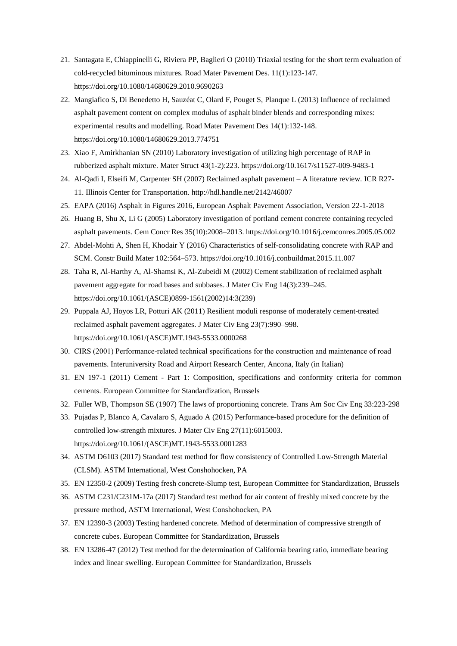- 21. Santagata E, Chiappinelli G, Riviera PP, Baglieri O (2010) Triaxial testing for the short term evaluation of cold-recycled bituminous mixtures. Road Mater Pavement Des. 11(1):123-147. https://doi.org/10.1080/14680629.2010.9690263
- 22. Mangiafico S, Di Benedetto H, Sauzéat C, Olard F, Pouget S, Planque L (2013) Influence of reclaimed asphalt pavement content on complex modulus of asphalt binder blends and corresponding mixes: experimental results and modelling. Road Mater Pavement Des 14(1):132-148. https://doi.org/10.1080/14680629.2013.774751
- 23. Xiao F, Amirkhanian SN (2010) Laboratory investigation of utilizing high percentage of RAP in rubberized asphalt mixture. Mater Struct 43(1-2):223. https://doi.org/10.1617/s11527-009-9483-1
- 24. Al-Qadi I, Elseifi M, Carpenter SH (2007) Reclaimed asphalt pavement A literature review. ICR R27- 11. Illinois Center for Transportation. http://hdl.handle.net/2142/46007
- 25. EAPA (2016) Asphalt in Figures 2016, European Asphalt Pavement Association, Version 22-1-2018
- 26. Huang B, Shu X, Li G (2005) Laboratory investigation of portland cement concrete containing recycled asphalt pavements. Cem Concr Res 35(10):2008–2013[. https://doi.org/10.1016/j.cemconres.2005.05.002](https://doi.org/10.1016/j.cemconres.2005.05.002)
- 27. Abdel-Mohti A, Shen H, Khodair Y (2016) Characteristics of self-consolidating concrete with RAP and SCM. Constr Build Mater 102:564–573. https://doi.org/10.1016/j.conbuildmat.2015.11.007
- 28. Taha R, Al-Harthy A, Al-Shamsi K, Al-Zubeidi M (2002) Cement stabilization of reclaimed asphalt pavement aggregate for road bases and subbases. J Mater Civ Eng 14(3):239–245. https://doi.org/10.1061/(ASCE)0899-1561(2002)14:3(239)
- 29. Puppala AJ, Hoyos LR, Potturi AK (2011) Resilient moduli response of moderately cement-treated reclaimed asphalt pavement aggregates. J Mater Civ Eng 23(7):990–998. https://doi.org/10.1061/(ASCE)MT.1943-5533.0000268
- 30. CIRS (2001) Performance-related technical specifications for the construction and maintenance of road pavements. Interuniversity Road and Airport Research Center, Ancona, Italy (in Italian)
- 31. EN 197-1 (2011) Cement Part 1: Composition, specifications and conformity criteria for common cements. European Committee for Standardization, Brussels
- 32. Fuller WB, Thompson SE (1907) The laws of proportioning concrete. Trans Am Soc Civ Eng 33:223-298
- 33. Pujadas P, Blanco A, Cavalaro S, Aguado A (2015) Performance-based procedure for the definition of controlled low-strength mixtures. J Mater Civ Eng 27(11):6015003. https://doi.org/10.1061/(ASCE)MT.1943-5533.0001283
- 34. ASTM D6103 (2017) Standard test method for flow consistency of Controlled Low-Strength Material (CLSM). ASTM International, West Conshohocken, PA
- 35. EN 12350-2 (2009) Testing fresh concrete-Slump test, European Committee for Standardization, Brussels
- 36. ASTM C231/C231M-17a (2017) Standard test method for air content of freshly mixed concrete by the pressure method, ASTM International, West Conshohocken, PA
- 37. EN 12390-3 (2003) Testing hardened concrete. Method of determination of compressive strength of concrete cubes. European Committee for Standardization, Brussels
- 38. EN 13286-47 (2012) Test method for the determination of California bearing ratio, immediate bearing index and linear swelling. European Committee for Standardization, Brussels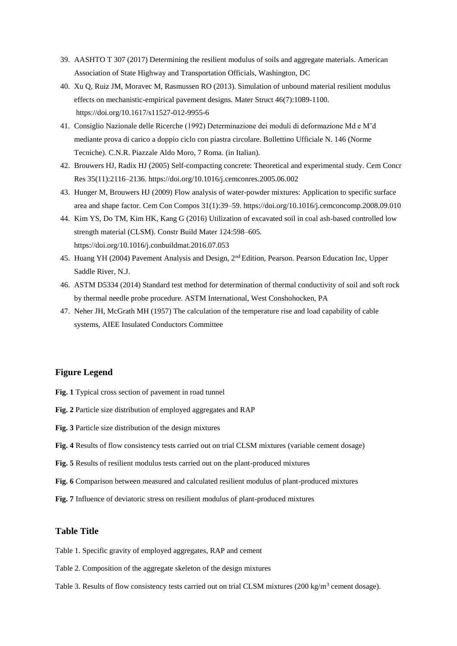- 39. AASHTO T 307 (2017) Determining the resilient modulus of soils and aggregate materials. American Association of State Highway and Transportation Officials, Washington, DC
- 40. Xu Q, Ruiz JM, Moravec M, Rasmussen RO (2013). Simulation of unbound material resilient modulus effects on mechanistic-empirical pavement designs. Mater Struct 46(7):1089-1100. <https://doi.org/10.1617/s11527-012-9955-6>
- 41. Consiglio Nazionale delle Ricerche (1992) Determinazione dei moduli di deformazione Md e M'd mediante prova di carico a doppio ciclo con piastra circolare. Bollettino Ufficiale N. 146 (Norme Tecniche). C.N.R. Piazzale Aldo Moro, 7 Roma. (in Italian).
- 42. Brouwers HJ, Radix HJ (2005) Self-compacting concrete: Theoretical and experimental study. Cem Concr Res 35(11):2116–2136[. https://doi.org/10.1016/j.cemconres.2005.06.002](https://doi.org/10.1016/j.cemconres.2005.06.002)
- 43. Hunger M, Brouwers HJ (2009) Flow analysis of water-powder mixtures: Application to specific surface area and shape factor. Cem Con Compos 31(1):39–59. https://doi.org/10.1016/j.cemconcomp.2008.09.010
- 44. Kim YS, Do TM, Kim HK, Kang G (2016) Utilization of excavated soil in coal ash-based controlled low strength material (CLSM). Constr Build Mater 124:598–605. https://doi.org/10.1016/j.conbuildmat.2016.07.053
- 45. Huang YH (2004) Pavement Analysis and Design, 2nd Edition, Pearson. Pearson Education Inc, Upper Saddle River, N.J.
- 46. ASTM D5334 (2014) Standard test method for determination of thermal conductivity of soil and soft rock by thermal needle probe procedure. ASTM International, West Conshohocken, PA
- 47. Neher JH, McGrath MH (1957) The calculation of the temperature rise and load capability of cable systems, AIEE Insulated Conductors Committee

#### **Figure Legend**

- **Fig. 1** Typical cross section of pavement in road tunnel
- **Fig. 2** Particle size distribution of employed aggregates and RAP
- **Fig. 3** Particle size distribution of the design mixtures
- **Fig. 4** Results of flow consistency tests carried out on trial CLSM mixtures (variable cement dosage)
- **Fig. 5** Results of resilient modulus tests carried out on the plant-produced mixtures
- **Fig. 6** Comparison between measured and calculated resilient modulus of plant-produced mixtures
- **Fig. 7** Influence of deviatoric stress on resilient modulus of plant-produced mixtures

#### **Table Title**

- Table 1. Specific gravity of employed aggregates, RAP and cement
- Table 2. Composition of the aggregate skeleton of the design mixtures
- Table 3. Results of flow consistency tests carried out on trial CLSM mixtures (200 kg/m<sup>3</sup> cement dosage).